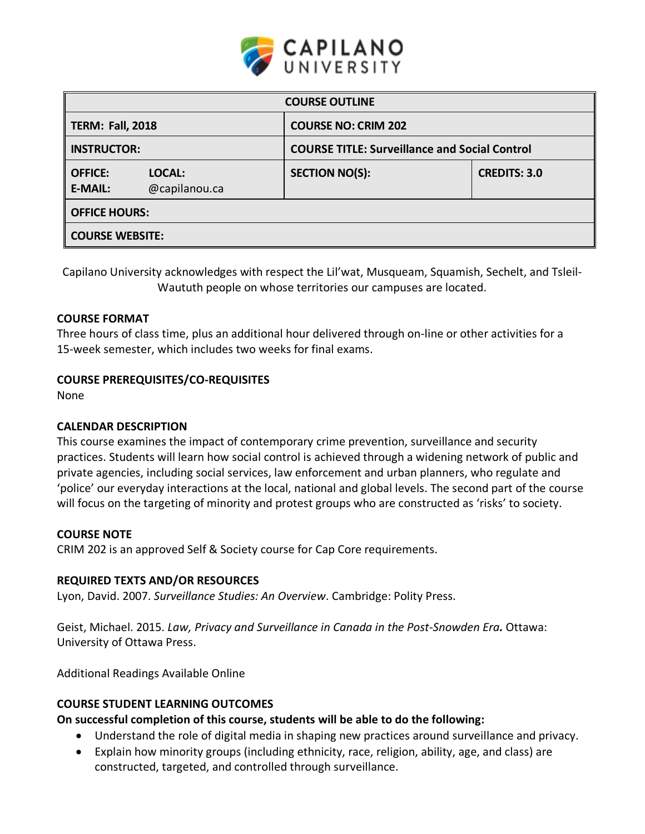

| <b>COURSE OUTLINE</b>            |                         |                            |                                                      |  |  |  |
|----------------------------------|-------------------------|----------------------------|------------------------------------------------------|--|--|--|
| <b>TERM: Fall, 2018</b>          |                         | <b>COURSE NO: CRIM 202</b> |                                                      |  |  |  |
| <b>INSTRUCTOR:</b>               |                         |                            | <b>COURSE TITLE: Surveillance and Social Control</b> |  |  |  |
| <b>OFFICE:</b><br><b>E-MAIL:</b> | LOCAL:<br>@capilanou.ca | <b>SECTION NO(S):</b>      | <b>CREDITS: 3.0</b>                                  |  |  |  |
| <b>OFFICE HOURS:</b>             |                         |                            |                                                      |  |  |  |
| <b>COURSE WEBSITE:</b>           |                         |                            |                                                      |  |  |  |

Capilano University acknowledges with respect the Lil'wat, Musqueam, Squamish, Sechelt, and Tsleil-Waututh people on whose territories our campuses are located.

### **COURSE FORMAT**

Three hours of class time, plus an additional hour delivered through on-line or other activities for a 15-week semester, which includes two weeks for final exams.

### **COURSE PREREQUISITES/CO-REQUISITES**

None

#### **CALENDAR DESCRIPTION**

This course examines the impact of contemporary crime prevention, surveillance and security practices. Students will learn how social control is achieved through a widening network of public and private agencies, including social services, law enforcement and urban planners, who regulate and 'police' our everyday interactions at the local, national and global levels. The second part of the course will focus on the targeting of minority and protest groups who are constructed as 'risks' to society.

#### **COURSE NOTE**

CRIM 202 is an approved Self & Society course for Cap Core requirements.

#### **REQUIRED TEXTS AND/OR RESOURCES**

Lyon, David. 2007. *Surveillance Studies: An Overview*. Cambridge: Polity Press.

Geist, Michael. 2015. *Law, Privacy and Surveillance in Canada in the Post-Snowden Era.* Ottawa: University of Ottawa Press.

Additional Readings Available Online

# **COURSE STUDENT LEARNING OUTCOMES**

# **On successful completion of this course, students will be able to do the following:**

- Understand the role of digital media in shaping new practices around surveillance and privacy.
- Explain how minority groups (including ethnicity, race, religion, ability, age, and class) are constructed, targeted, and controlled through surveillance.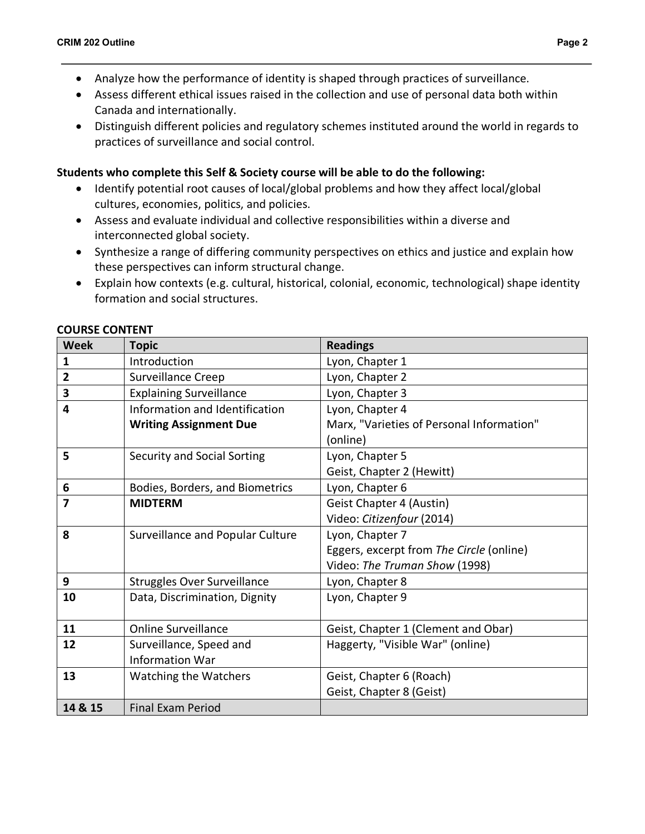- Analyze how the performance of identity is shaped through practices of surveillance.
- Assess different ethical issues raised in the collection and use of personal data both within Canada and internationally.
- Distinguish different policies and regulatory schemes instituted around the world in regards to practices of surveillance and social control.

# **Students who complete this Self & Society course will be able to do the following:**

- Identify potential root causes of local/global problems and how they affect local/global cultures, economies, politics, and policies.
- Assess and evaluate individual and collective responsibilities within a diverse and interconnected global society.
- Synthesize a range of differing community perspectives on ethics and justice and explain how these perspectives can inform structural change.
- Explain how contexts (e.g. cultural, historical, colonial, economic, technological) shape identity formation and social structures.

| <b>Week</b>             | <b>Topic</b>                       | <b>Readings</b>                           |  |
|-------------------------|------------------------------------|-------------------------------------------|--|
| 1                       | Introduction                       | Lyon, Chapter 1                           |  |
| $\overline{2}$          | Surveillance Creep                 | Lyon, Chapter 2                           |  |
| 3                       | <b>Explaining Surveillance</b>     | Lyon, Chapter 3                           |  |
| $\overline{\mathbf{4}}$ | Information and Identification     | Lyon, Chapter 4                           |  |
|                         | <b>Writing Assignment Due</b>      | Marx, "Varieties of Personal Information" |  |
|                         |                                    | (online)                                  |  |
| 5                       | <b>Security and Social Sorting</b> | Lyon, Chapter 5                           |  |
|                         |                                    | Geist, Chapter 2 (Hewitt)                 |  |
| 6                       | Bodies, Borders, and Biometrics    | Lyon, Chapter 6                           |  |
| $\overline{7}$          | <b>MIDTERM</b>                     | Geist Chapter 4 (Austin)                  |  |
|                         |                                    | Video: Citizenfour (2014)                 |  |
| 8                       | Surveillance and Popular Culture   | Lyon, Chapter 7                           |  |
|                         |                                    | Eggers, excerpt from The Circle (online)  |  |
|                         |                                    | Video: The Truman Show (1998)             |  |
| 9                       | <b>Struggles Over Surveillance</b> | Lyon, Chapter 8                           |  |
| 10                      | Data, Discrimination, Dignity      | Lyon, Chapter 9                           |  |
|                         |                                    |                                           |  |
| 11                      | <b>Online Surveillance</b>         | Geist, Chapter 1 (Clement and Obar)       |  |
| 12                      | Surveillance, Speed and            | Haggerty, "Visible War" (online)          |  |
|                         | <b>Information War</b>             |                                           |  |
| 13                      | <b>Watching the Watchers</b>       | Geist, Chapter 6 (Roach)                  |  |
|                         |                                    | Geist, Chapter 8 (Geist)                  |  |
| 14 & 15                 | <b>Final Exam Period</b>           |                                           |  |

# **COURSE CONTENT**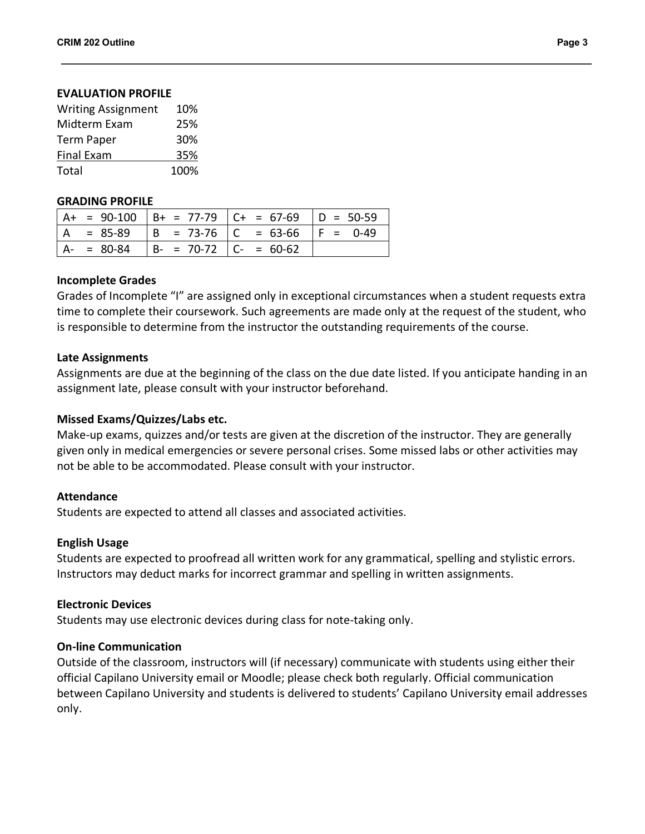#### **EVALUATION PROFILE**

| <b>Writing Assignment</b> | 10%  |
|---------------------------|------|
| Midterm Exam              | 25%  |
| <b>Term Paper</b>         | 30%  |
| <b>Final Exam</b>         | 35%  |
| Total                     | 100% |

#### **GRADING PROFILE**

|               |                           | $  A + = 90-100   B + = 77-79   C + = 67-69   D = 50-59$ |  |
|---------------|---------------------------|----------------------------------------------------------|--|
|               |                           | $ A = 85-89$ $ B = 73-76$ $ C = 63-66$ $ F = 0-49$       |  |
| $A - = 80-84$ | $B- = 70-72$ $C- = 60-62$ |                                                          |  |

#### **Incomplete Grades**

Grades of Incomplete "I" are assigned only in exceptional circumstances when a student requests extra time to complete their coursework. Such agreements are made only at the request of the student, who is responsible to determine from the instructor the outstanding requirements of the course.

#### **Late Assignments**

Assignments are due at the beginning of the class on the due date listed. If you anticipate handing in an assignment late, please consult with your instructor beforehand.

#### **Missed Exams/Quizzes/Labs etc.**

Make-up exams, quizzes and/or tests are given at the discretion of the instructor. They are generally given only in medical emergencies or severe personal crises. Some missed labs or other activities may not be able to be accommodated. Please consult with your instructor.

#### **Attendance**

Students are expected to attend all classes and associated activities.

# **English Usage**

Students are expected to proofread all written work for any grammatical, spelling and stylistic errors. Instructors may deduct marks for incorrect grammar and spelling in written assignments.

# **Electronic Devices**

Students may use electronic devices during class for note-taking only.

# **On-line Communication**

Outside of the classroom, instructors will (if necessary) communicate with students using either their official Capilano University email or Moodle; please check both regularly. Official communication between Capilano University and students is delivered to students' Capilano University email addresses only.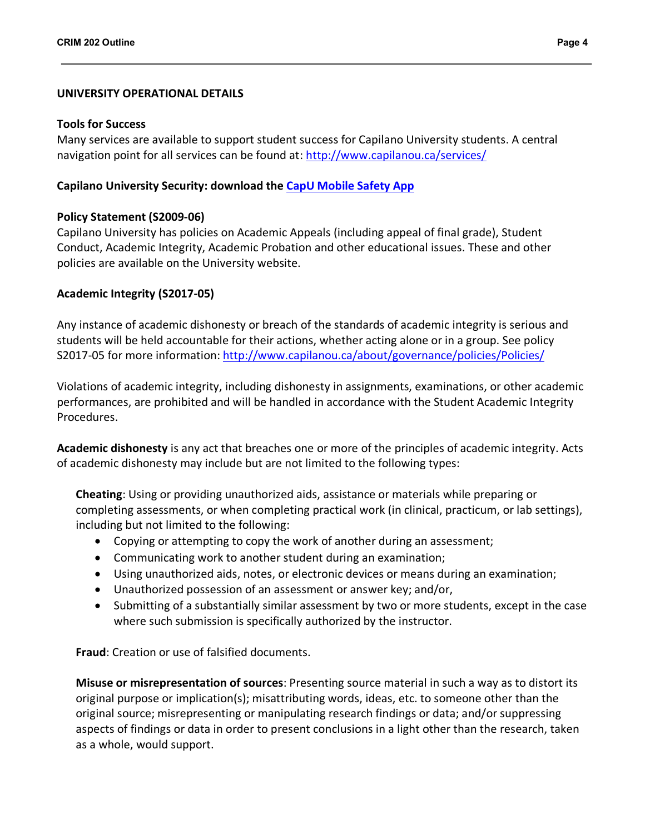### **UNIVERSITY OPERATIONAL DETAILS**

#### **Tools for Success**

Many services are available to support student success for Capilano University students. A central navigation point for all services can be found at: http://www.capilanou.ca/services/

### **Capilano University Security: download the CapU Mobile Safety App**

### **Policy Statement (S2009-06)**

Capilano University has policies on Academic Appeals (including appeal of final grade), Student Conduct, Academic Integrity, Academic Probation and other educational issues. These and other policies are available on the University website.

### **Academic Integrity (S2017-05)**

Any instance of academic dishonesty or breach of the standards of academic integrity is serious and students will be held accountable for their actions, whether acting alone or in a group. See policy S2017-05 for more information: http://www.capilanou.ca/about/governance/policies/Policies/

Violations of academic integrity, including dishonesty in assignments, examinations, or other academic performances, are prohibited and will be handled in accordance with the Student Academic Integrity Procedures.

**Academic dishonesty** is any act that breaches one or more of the principles of academic integrity. Acts of academic dishonesty may include but are not limited to the following types:

**Cheating**: Using or providing unauthorized aids, assistance or materials while preparing or completing assessments, or when completing practical work (in clinical, practicum, or lab settings), including but not limited to the following:

- Copying or attempting to copy the work of another during an assessment;
- Communicating work to another student during an examination;
- Using unauthorized aids, notes, or electronic devices or means during an examination;
- Unauthorized possession of an assessment or answer key; and/or,
- Submitting of a substantially similar assessment by two or more students, except in the case where such submission is specifically authorized by the instructor.

**Fraud**: Creation or use of falsified documents.

**Misuse or misrepresentation of sources**: Presenting source material in such a way as to distort its original purpose or implication(s); misattributing words, ideas, etc. to someone other than the original source; misrepresenting or manipulating research findings or data; and/or suppressing aspects of findings or data in order to present conclusions in a light other than the research, taken as a whole, would support.